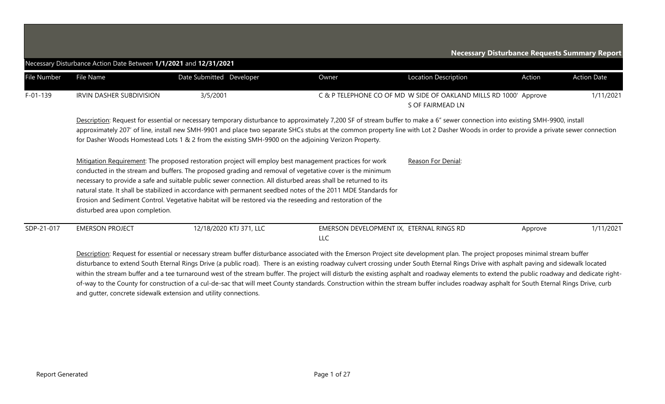|             |                                                                   |                                                                                                                                                                                                                                                                                                                                                                                                                                                                                                                                                                       |                                                        | <b>Necessary Disturbance Requests Summary Report</b>                                  |         |                    |
|-------------|-------------------------------------------------------------------|-----------------------------------------------------------------------------------------------------------------------------------------------------------------------------------------------------------------------------------------------------------------------------------------------------------------------------------------------------------------------------------------------------------------------------------------------------------------------------------------------------------------------------------------------------------------------|--------------------------------------------------------|---------------------------------------------------------------------------------------|---------|--------------------|
|             | Necessary Disturbance Action Date Between 1/1/2021 and 12/31/2021 |                                                                                                                                                                                                                                                                                                                                                                                                                                                                                                                                                                       |                                                        |                                                                                       |         |                    |
| File Number | File Name                                                         | Date Submitted Developer                                                                                                                                                                                                                                                                                                                                                                                                                                                                                                                                              | Owner                                                  | <b>Location Description</b>                                                           | Action  | <b>Action Date</b> |
| $F-01-139$  | <b>IRVIN DASHER SUBDIVISION</b>                                   | 3/5/2001                                                                                                                                                                                                                                                                                                                                                                                                                                                                                                                                                              |                                                        | C & P TELEPHONE CO OF MD W SIDE OF OAKLAND MILLS RD 1000' Approve<br>S OF FAIRMEAD LN |         | 1/11/2021          |
|             |                                                                   | Description: Request for essential or necessary temporary disturbance to approximately 7,200 SF of stream buffer to make a 6" sewer connection into existing SMH-9900, install<br>approximately 207' of line, install new SMH-9901 and place two separate SHCs stubs at the common property line with Lot 2 Dasher Woods in order to provide a private sewer connection<br>for Dasher Woods Homestead Lots 1 & 2 from the existing SMH-9900 on the adjoining Verizon Property.                                                                                        |                                                        |                                                                                       |         |                    |
|             | disturbed area upon completion.                                   | Mitigation Requirement: The proposed restoration project will employ best management practices for work<br>conducted in the stream and buffers. The proposed grading and removal of vegetative cover is the minimum<br>necessary to provide a safe and suitable public sewer connection. All disturbed areas shall be returned to its<br>natural state. It shall be stabilized in accordance with permanent seedbed notes of the 2011 MDE Standards for<br>Erosion and Sediment Control. Vegetative habitat will be restored via the reseeding and restoration of the |                                                        | Reason For Denial:                                                                    |         |                    |
| SDP-21-017  | <b>EMERSON PROJECT</b>                                            | 12/18/2020 KTJ 371, LLC                                                                                                                                                                                                                                                                                                                                                                                                                                                                                                                                               | EMERSON DEVELOPMENT IX, ETERNAL RINGS RD<br><b>LLC</b> |                                                                                       | Approve | 1/11/2021          |

Description: Request for essential or necessary stream buffer disturbance associated with the Emerson Project site development plan. The project proposes minimal stream buffer disturbance to extend South Eternal Rings Drive (a public road). There is an existing roadway culvert crossing under South Eternal Rings Drive with asphalt paving and sidewalk located within the stream buffer and a tee turnaround west of the stream buffer. The project will disturb the existing asphalt and roadway elements to extend the public roadway and dedicate rightof-way to the County for construction of a cul-de-sac that will meet County standards. Construction within the stream buffer includes roadway asphalt for South Eternal Rings Drive, curb and gutter, concrete sidewalk extension and utility connections.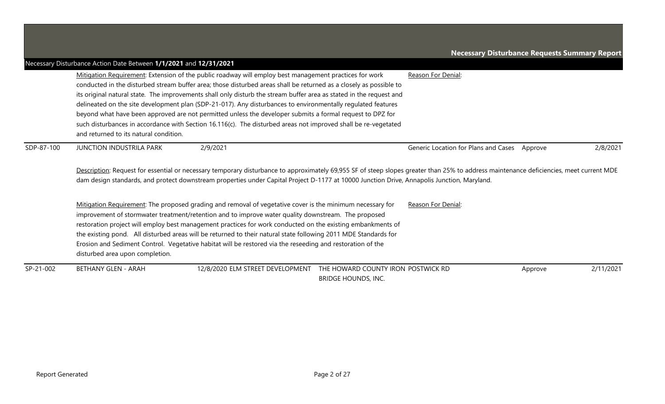|            | Necessary Disturbance Action Date Between 1/1/2021 and 12/31/2021 |                                                                                                                                                                                                                                                                                                                                                                                                                                                                                                                                                                                                                                                                                                    |                                                                  |                                      |         |           |
|------------|-------------------------------------------------------------------|----------------------------------------------------------------------------------------------------------------------------------------------------------------------------------------------------------------------------------------------------------------------------------------------------------------------------------------------------------------------------------------------------------------------------------------------------------------------------------------------------------------------------------------------------------------------------------------------------------------------------------------------------------------------------------------------------|------------------------------------------------------------------|--------------------------------------|---------|-----------|
|            | and returned to its natural condition.                            | Mitigation Requirement: Extension of the public roadway will employ best management practices for work<br>conducted in the disturbed stream buffer area; those disturbed areas shall be returned as a closely as possible to<br>its original natural state. The improvements shall only disturb the stream buffer area as stated in the request and<br>delineated on the site development plan (SDP-21-017). Any disturbances to environmentally regulated features<br>beyond what have been approved are not permitted unless the developer submits a formal request to DPZ for<br>such disturbances in accordance with Section 16.116(c). The disturbed areas not improved shall be re-vegetated |                                                                  | Reason For Denial:                   |         |           |
| SDP-87-100 | JUNCTION INDUSTRILA PARK                                          | 2/9/2021<br>Description: Request for essential or necessary temporary disturbance to approximately 69,955 SF of steep slopes greater than 25% to address maintenance deficiencies, meet current MDE<br>dam design standards, and protect downstream properties under Capital Project D-1177 at 10000 Junction Drive, Annapolis Junction, Maryland.                                                                                                                                                                                                                                                                                                                                                 |                                                                  | Generic Location for Plans and Cases | Approve | 2/8/2021  |
|            | disturbed area upon completion.                                   | Mitigation Requirement: The proposed grading and removal of vegetative cover is the minimum necessary for<br>improvement of stormwater treatment/retention and to improve water quality downstream. The proposed<br>restoration project will employ best management practices for work conducted on the existing embankments of<br>the existing pond. All disturbed areas will be returned to their natural state following 2011 MDE Standards for<br>Erosion and Sediment Control. Vegetative habitat will be restored via the reseeding and restoration of the                                                                                                                                   |                                                                  | Reason For Denial:                   |         |           |
| SP-21-002  | <b>BETHANY GLEN - ARAH</b>                                        | 12/8/2020 ELM STREET DEVELOPMENT                                                                                                                                                                                                                                                                                                                                                                                                                                                                                                                                                                                                                                                                   | THE HOWARD COUNTY IRON POSTWICK RD<br><b>BRIDGE HOUNDS, INC.</b> |                                      | Approve | 2/11/2021 |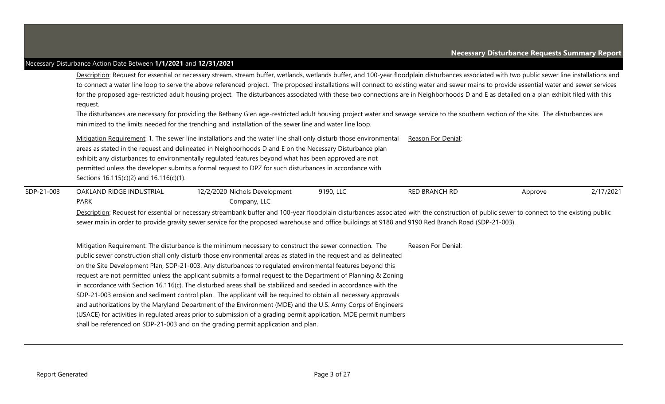Description: Request for essential or necessary stream, stream buffer, wetlands, wetlands buffer, and 100-year floodplain disturbances associated with two public sewer line installations and to connect a water line loop to serve the above referenced project. The proposed installations will connect to existing water and sewer mains to provide essential water and sewer services for the proposed age-restricted adult housing project. The disturbances associated with these two connections are in Neighborhoods D and E as detailed on a plan exhibit filed with this request.

The disturbances are necessary for providing the Bethany Glen age-restricted adult housing project water and sewage service to the southern section of the site. The disturbances are minimized to the limits needed for the trenching and installation of the sewer line and water line loop.

|            | Sections 16.115(c)(2) and 16.116(c)(1). | Mitigation Requirement: 1. The sewer line installations and the water line shall only disturb those environmental<br>areas as stated in the request and delineated in Neighborhoods D and E on the Necessary Disturbance plan<br>exhibit; any disturbances to environmentally regulated features beyond what has been approved are not<br>permitted unless the developer submits a formal request to DPZ for such disturbances in accordance with |           | <b>Reason For Denial:</b> |         |           |
|------------|-----------------------------------------|---------------------------------------------------------------------------------------------------------------------------------------------------------------------------------------------------------------------------------------------------------------------------------------------------------------------------------------------------------------------------------------------------------------------------------------------------|-----------|---------------------------|---------|-----------|
| SDP-21-003 | OAKLAND RIDGE INDUSTRIAL<br>PARK        | 12/2/2020 Nichols Development<br>Company, LLC                                                                                                                                                                                                                                                                                                                                                                                                     | 9190, LLC | RED BRANCH RD             | Approve | 2/17/2021 |

Company, LLC

Description: Request for essential or necessary streambank buffer and 100-year floodplain disturbances associated with the construction of public sewer to connect to the existing public sewer main in order to provide gravity sewer service for the proposed warehouse and office buildings at 9188 and 9190 Red Branch Road (SDP-21-003).

Mitigation Requirement: The disturbance is the minimum necessary to construct the sewer connection. The public sewer construction shall only disturb those environmental areas as stated in the request and as delineated on the Site Development Plan, SDP-21-003. Any disturbances to regulated environmental features beyond this request are not permitted unless the applicant submits a formal request to the Department of Planning & Zoning in accordance with Section 16.116(c). The disturbed areas shall be stabilized and seeded in accordance with the SDP-21-003 erosion and sediment control plan. The applicant will be required to obtain all necessary approvals and authorizations by the Maryland Department of the Environment (MDE) and the U.S. Army Corps of Engineers (USACE) for activities in regulated areas prior to submission of a grading permit application. MDE permit numbers shall be referenced on SDP-21-003 and on the grading permit application and plan. Reason For Denial: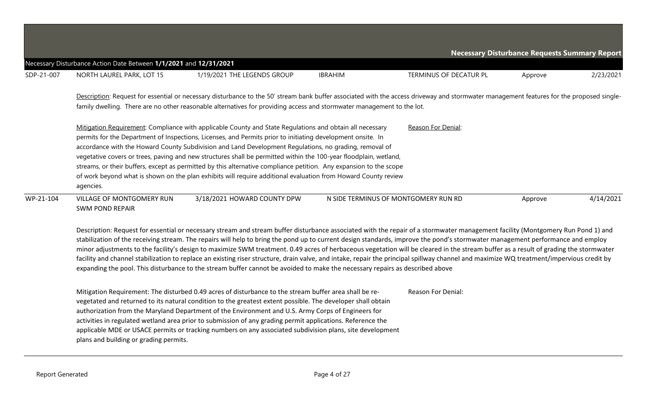|            |                                                                   |                                                                                                                                                                                                                                                                                                                                                                                                                                                                                                                                                                                                                                                                                                |                |                                      | <b>Necessary Disturbance Requests Summary Report</b> |           |  |  |  |  |
|------------|-------------------------------------------------------------------|------------------------------------------------------------------------------------------------------------------------------------------------------------------------------------------------------------------------------------------------------------------------------------------------------------------------------------------------------------------------------------------------------------------------------------------------------------------------------------------------------------------------------------------------------------------------------------------------------------------------------------------------------------------------------------------------|----------------|--------------------------------------|------------------------------------------------------|-----------|--|--|--|--|
|            | Necessary Disturbance Action Date Between 1/1/2021 and 12/31/2021 |                                                                                                                                                                                                                                                                                                                                                                                                                                                                                                                                                                                                                                                                                                |                |                                      |                                                      |           |  |  |  |  |
| SDP-21-007 | NORTH LAUREL PARK, LOT 15                                         | 1/19/2021 THE LEGENDS GROUP                                                                                                                                                                                                                                                                                                                                                                                                                                                                                                                                                                                                                                                                    | <b>IBRAHIM</b> | TERMINUS OF DECATUR PL               | Approve                                              | 2/23/2021 |  |  |  |  |
|            |                                                                   | Description: Request for essential or necessary disturbance to the 50' stream bank buffer associated with the access driveway and stormwater management features for the proposed single-<br>family dwelling. There are no other reasonable alternatives for providing access and stormwater management to the lot.                                                                                                                                                                                                                                                                                                                                                                            |                |                                      |                                                      |           |  |  |  |  |
|            | agencies.                                                         | Mitigation Requirement: Compliance with applicable County and State Regulations and obtain all necessary<br>permits for the Department of Inspections, Licenses, and Permits prior to initiating development onsite. In<br>accordance with the Howard County Subdivision and Land Development Regulations, no grading, removal of<br>vegetative covers or trees, paving and new structures shall be permitted within the 100-year floodplain, wetland,<br>streams, or their buffers, except as permitted by this alternative compliance petition. Any expansion to the scope<br>of work beyond what is shown on the plan exhibits will require additional evaluation from Howard County review |                | Reason For Denial:                   |                                                      |           |  |  |  |  |
| WP-21-104  | <b>VILLAGE OF MONTGOMERY RUN</b><br><b>SWM POND REPAIR</b>        | 3/18/2021 HOWARD COUNTY DPW                                                                                                                                                                                                                                                                                                                                                                                                                                                                                                                                                                                                                                                                    |                | N SIDE TERMINUS OF MONTGOMERY RUN RD | Approve                                              | 4/14/2021 |  |  |  |  |

Description: Request for essential or necessary stream and stream buffer disturbance associated with the repair of a stormwater management facility (Montgomery Run Pond 1) and stabilization of the receiving stream. The repairs will help to bring the pond up to current design standards, improve the pond's stormwater management performance and employ minor adjustments to the facility's design to maximize SWM treatment. 0.49 acres of herbaceous vegetation will be cleared in the stream buffer as a result of grading the stormwater facility and channel stabilization to replace an existing riser structure, drain valve, and intake, repair the principal spillway channel and maximize WQ treatment/impervious credit by expanding the pool. This disturbance to the stream buffer cannot be avoided to make the necessary repairs as described above

Reason For Denial: Mitigation Requirement: The disturbed 0.49 acres of disturbance to the stream buffer area shall be revegetated and returned to its natural condition to the greatest extent possible. The developer shall obtain authorization from the Maryland Department of the Environment and U.S. Army Corps of Engineers for activities in regulated wetland area prior to submission of any grading permit applications. Reference the applicable MDE or USACE permits or tracking numbers on any associated subdivision plans, site development plans and building or grading permits.

Report Generated Page 4 of 27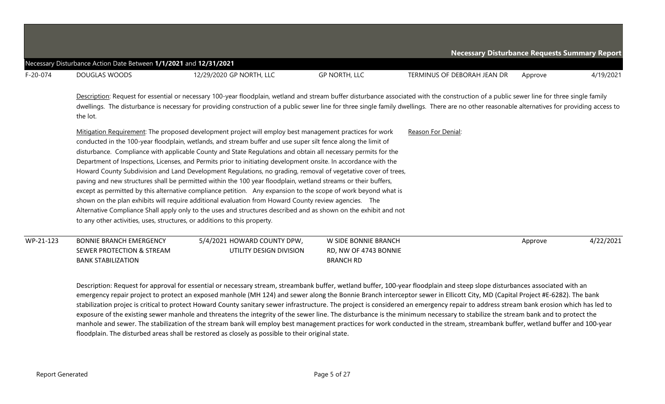|            |                                                                                          |                                                                                                                                                                                                                                                                                                                                                                                                                                                                                                                                                                                                                                                                                                                                                                                                                                                                                                                                                                                                                                                |                                                                   | <b>Necessary Disturbance Requests Summary Report</b> |         |           |
|------------|------------------------------------------------------------------------------------------|------------------------------------------------------------------------------------------------------------------------------------------------------------------------------------------------------------------------------------------------------------------------------------------------------------------------------------------------------------------------------------------------------------------------------------------------------------------------------------------------------------------------------------------------------------------------------------------------------------------------------------------------------------------------------------------------------------------------------------------------------------------------------------------------------------------------------------------------------------------------------------------------------------------------------------------------------------------------------------------------------------------------------------------------|-------------------------------------------------------------------|------------------------------------------------------|---------|-----------|
|            | Necessary Disturbance Action Date Between 1/1/2021 and 12/31/2021                        |                                                                                                                                                                                                                                                                                                                                                                                                                                                                                                                                                                                                                                                                                                                                                                                                                                                                                                                                                                                                                                                |                                                                   |                                                      |         |           |
| $F-20-074$ | DOUGLAS WOODS                                                                            | 12/29/2020 GP NORTH, LLC                                                                                                                                                                                                                                                                                                                                                                                                                                                                                                                                                                                                                                                                                                                                                                                                                                                                                                                                                                                                                       | GP NORTH, LLC                                                     | TERMINUS OF DEBORAH JEAN DR                          | Approve | 4/19/2021 |
|            | the lot.                                                                                 | Description: Request for essential or necessary 100-year floodplain, wetland and stream buffer disturbance associated with the construction of a public sewer line for three single family<br>dwellings. The disturbance is necessary for providing construction of a public sewer line for three single family dwellings. There are no other reasonable alternatives for providing access to                                                                                                                                                                                                                                                                                                                                                                                                                                                                                                                                                                                                                                                  |                                                                   |                                                      |         |           |
|            | to any other activities, uses, structures, or additions to this property.                | Mitigation Requirement: The proposed development project will employ best management practices for work<br>conducted in the 100-year floodplain, wetlands, and stream buffer and use super silt fence along the limit of<br>disturbance. Compliance with applicable County and State Regulations and obtain all necessary permits for the<br>Department of Inspections, Licenses, and Permits prior to initiating development onsite. In accordance with the<br>Howard County Subdivision and Land Development Regulations, no grading, removal of vegetative cover of trees,<br>paving and new structures shall be permitted within the 100 year floodplain, wetland streams or their buffers,<br>except as permitted by this alternative compliance petition. Any expansion to the scope of work beyond what is<br>shown on the plan exhibits will require additional evaluation from Howard County review agencies. The<br>Alternative Compliance Shall apply only to the uses and structures described and as shown on the exhibit and not |                                                                   | Reason For Denial:                                   |         |           |
| WP-21-123  | <b>BONNIE BRANCH EMERGENCY</b><br>SEWER PROTECTION & STREAM<br><b>BANK STABILIZATION</b> | 5/4/2021 HOWARD COUNTY DPW,<br>UTILITY DESIGN DIVISION                                                                                                                                                                                                                                                                                                                                                                                                                                                                                                                                                                                                                                                                                                                                                                                                                                                                                                                                                                                         | W SIDE BONNIE BRANCH<br>RD, NW OF 4743 BONNIE<br><b>BRANCH RD</b> |                                                      | Approve | 4/22/2021 |

Description: Request for approval for essential or necessary stream, streambank buffer, wetland buffer, 100-year floodplain and steep slope disturbances associated with an emergency repair project to protect an exposed manhole (MH 124) and sewer along the Bonnie Branch interceptor sewer in Ellicott City, MD (Capital Project #E-6282). The bank stabilization projec is critical to protect Howard County sanitary sewer infrastructure. The project is considered an emergency repair to address stream bank erosion which has led to exposure of the existing sewer manhole and threatens the integrity of the sewer line. The disturbance is the minimum necessary to stabilize the stream bank and to protect the manhole and sewer. The stabilization of the stream bank will employ best management practices for work conducted in the stream, streambank buffer, wetland buffer and 100-year floodplain. The disturbed areas shall be restored as closely as possible to their original state.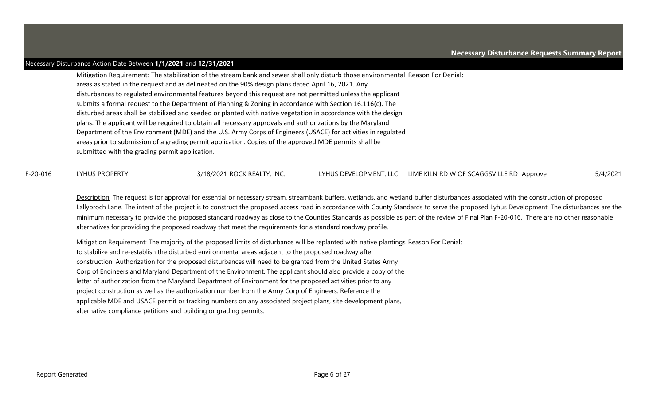Mitigation Requirement: The stabilization of the stream bank and sewer shall only disturb those environmental Reason For Denial: areas as stated in the request and as delineated on the 90% design plans dated April 16, 2021. Any disturbances to regulated environmental features beyond this request are not permitted unless the applicant submits a formal request to the Department of Planning & Zoning in accordance with Section 16.116(c). The disturbed areas shall be stabilized and seeded or planted with native vegetation in accordance with the design plans. The applicant will be required to obtain all necessary approvals and authorizations by the Maryland Department of the Environment (MDE) and the U.S. Army Corps of Engineers (USACE) for activities in regulated areas prior to submission of a grading permit application. Copies of the approved MDE permits shall be submitted with the grading permit application.

F-20-016 LYHUS PROPERTY 3/18/2021 ROCK REALTY, INC. LYHUS DEVELOPMENT, LLC LIME KILN RD W OF SCAGGSVILLE RD Approve 5/4/2021

Description: The request is for approval for essential or necessary stream, streambank buffers, wetlands, and wetland buffer disturbances associated with the construction of proposed Lallybroch Lane. The intent of the project is to construct the proposed access road in accordance with County Standards to serve the proposed Lyhus Development. The disturbances are the minimum necessary to provide the proposed standard roadway as close to the Counties Standards as possible as part of the review of Final Plan F-20-016. There are no other reasonable alternatives for providing the proposed roadway that meet the requirements for a standard roadway profile.

Mitigation Requirement: The majority of the proposed limits of disturbance will be replanted with native plantings Reason For Denial: to stabilize and re-establish the disturbed environmental areas adjacent to the proposed roadway after construction. Authorization for the proposed disturbances will need to be granted from the United States Army Corp of Engineers and Maryland Department of the Environment. The applicant should also provide a copy of the letter of authorization from the Maryland Department of Environment for the proposed activities prior to any project construction as well as the authorization number from the Army Corp of Engineers. Reference the applicable MDE and USACE permit or tracking numbers on any associated project plans, site development plans, alternative compliance petitions and building or grading permits.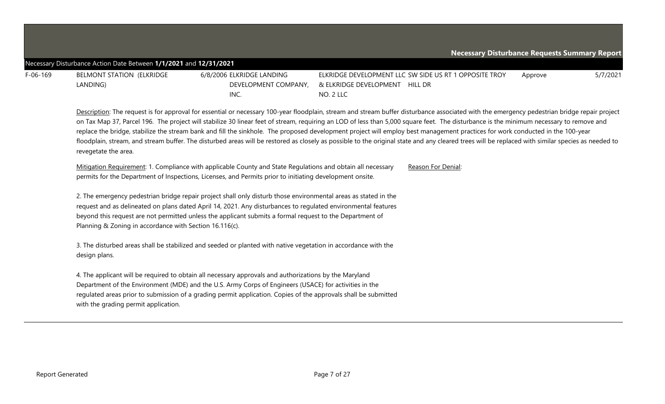| F-06-169 | BELMONT STATION (ELKRIDGE | 6/8/2006 ELKRIDGE LANDING | ELKRIDGE DEVELOPMENT LLC SW SIDE US RT 1 OPPOSITE TROY        | Approve | 5/7/2021 |
|----------|---------------------------|---------------------------|---------------------------------------------------------------|---------|----------|
|          | LANDING)                  |                           | DEVELOPMENT COMPANY, & ELKRIDGE DEVELOPMENT<br><b>HILL DR</b> |         |          |
|          |                           | INC.                      | NO. 2 LLC                                                     |         |          |

Description: The request is for approval for essential or necessary 100-year floodplain, stream and stream buffer disturbance associated with the emergency pedestrian bridge repair project on Tax Map 37, Parcel 196. The project will stabilize 30 linear feet of stream, requiring an LOD of less than 5,000 square feet. The disturbance is the minimum necessary to remove and replace the bridge, stabilize the stream bank and fill the sinkhole. The proposed development project will employ best management practices for work conducted in the 100-year floodplain, stream, and stream buffer. The disturbed areas will be restored as closely as possible to the original state and any cleared trees will be replaced with similar species as needed to revegetate the area.

Mitigation Requirement: 1. Compliance with applicable County and State Regulations and obtain all necessary permits for the Department of Inspections, Licenses, and Permits prior to initiating development onsite. Reason For Denial:

2. The emergency pedestrian bridge repair project shall only disturb those environmental areas as stated in the request and as delineated on plans dated April 14, 2021. Any disturbances to regulated environmental features beyond this request are not permitted unless the applicant submits a formal request to the Department of Planning & Zoning in accordance with Section 16.116(c).

3. The disturbed areas shall be stabilized and seeded or planted with native vegetation in accordance with the design plans.

4. The applicant will be required to obtain all necessary approvals and authorizations by the Maryland Department of the Environment (MDE) and the U.S. Army Corps of Engineers (USACE) for activities in the regulated areas prior to submission of a grading permit application. Copies of the approvals shall be submitted with the grading permit application.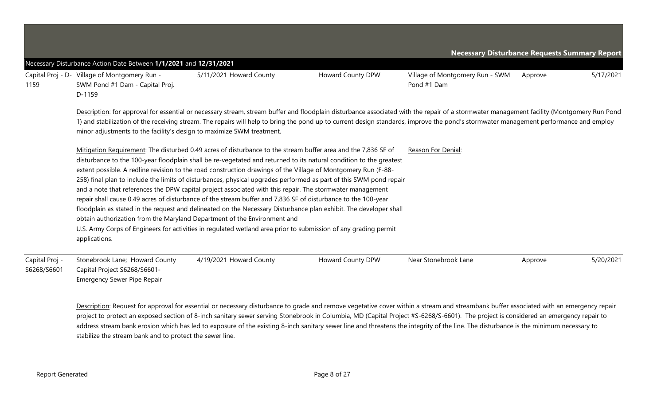|                               | Necessary Disturbance Action Date Between 1/1/2021 and 12/31/2021                                                                                                                                                                                                                                                                                                                                                                                                                                                                                                                                                                                                                                                                                                                                                                                                                                                                                                                                                                             |                         |                   |                                                | <b>Necessary Disturbance Requests Summary Report</b> |           |  |
|-------------------------------|-----------------------------------------------------------------------------------------------------------------------------------------------------------------------------------------------------------------------------------------------------------------------------------------------------------------------------------------------------------------------------------------------------------------------------------------------------------------------------------------------------------------------------------------------------------------------------------------------------------------------------------------------------------------------------------------------------------------------------------------------------------------------------------------------------------------------------------------------------------------------------------------------------------------------------------------------------------------------------------------------------------------------------------------------|-------------------------|-------------------|------------------------------------------------|------------------------------------------------------|-----------|--|
| 1159                          | Capital Proj - D- Village of Montgomery Run -<br>SWM Pond #1 Dam - Capital Proj.<br>D-1159                                                                                                                                                                                                                                                                                                                                                                                                                                                                                                                                                                                                                                                                                                                                                                                                                                                                                                                                                    | 5/11/2021 Howard County | Howard County DPW | Village of Montgomery Run - SWM<br>Pond #1 Dam | Approve                                              | 5/17/2021 |  |
|                               | Description: for approval for essential or necessary stream, stream buffer and floodplain disturbance associated with the repair of a stormwater management facility (Montgomery Run Pond<br>1) and stabilization of the receiving stream. The repairs will help to bring the pond up to current design standards, improve the pond's stormwater management performance and employ<br>minor adjustments to the facility's design to maximize SWM treatment.                                                                                                                                                                                                                                                                                                                                                                                                                                                                                                                                                                                   |                         |                   |                                                |                                                      |           |  |
|                               | Mitigation Requirement: The disturbed 0.49 acres of disturbance to the stream buffer area and the 7,836 SF of<br>disturbance to the 100-year floodplain shall be re-vegetated and returned to its natural condition to the greatest<br>extent possible. A redline revision to the road construction drawings of the Village of Montgomery Run (F-88-<br>258) final plan to include the limits of disturbances, physical upgrades performed as part of this SWM pond repair<br>and a note that references the DPW capital project associated with this repair. The stormwater management<br>repair shall cause 0.49 acres of disturbance of the stream buffer and 7,836 SF of disturbance to the 100-year<br>floodplain as stated in the request and delineated on the Necessary Disturbance plan exhibit. The developer shall<br>obtain authorization from the Maryland Department of the Environment and<br>U.S. Army Corps of Engineers for activities in regulated wetland area prior to submission of any grading permit<br>applications. |                         |                   | Reason For Denial:                             |                                                      |           |  |
| Capital Proj -<br>S6268/S6601 | Stonebrook Lane; Howard County<br>Capital Project S6268/S6601-<br><b>Emergency Sewer Pipe Repair</b>                                                                                                                                                                                                                                                                                                                                                                                                                                                                                                                                                                                                                                                                                                                                                                                                                                                                                                                                          | 4/19/2021 Howard County | Howard County DPW | Near Stonebrook Lane                           | Approve                                              | 5/20/2021 |  |

Description: Request for approval for essential or necessary disturbance to grade and remove vegetative cover within a stream and streambank buffer associated with an emergency repair project to protect an exposed section of 8-inch sanitary sewer serving Stonebrook in Columbia, MD (Capital Project #S-6268/S-6601). The project is considered an emergency repair to address stream bank erosion which has led to exposure of the existing 8-inch sanitary sewer line and threatens the integrity of the line. The disturbance is the minimum necessary to stabilize the stream bank and to protect the sewer line.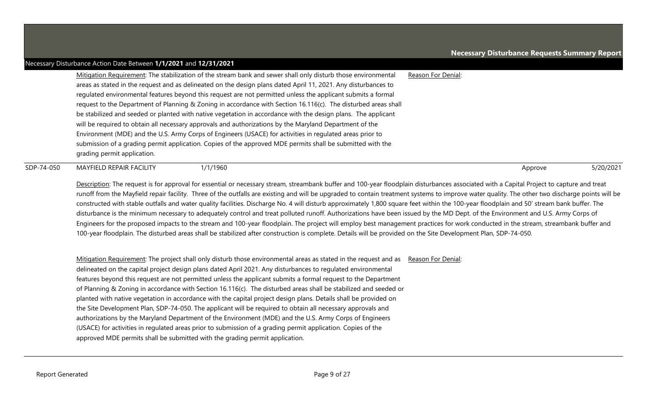|            | Necessary Disturbance Action Date Between 1/1/2021 and 12/31/2021                                                                                                                                                                                                                                                                                                                                                                                                                                                                                                                                                                                                                                                                                                                                                                                                                                                                                       |                    |           |
|------------|---------------------------------------------------------------------------------------------------------------------------------------------------------------------------------------------------------------------------------------------------------------------------------------------------------------------------------------------------------------------------------------------------------------------------------------------------------------------------------------------------------------------------------------------------------------------------------------------------------------------------------------------------------------------------------------------------------------------------------------------------------------------------------------------------------------------------------------------------------------------------------------------------------------------------------------------------------|--------------------|-----------|
|            | Mitigation Requirement: The stabilization of the stream bank and sewer shall only disturb those environmental<br>areas as stated in the request and as delineated on the design plans dated April 11, 2021. Any disturbances to<br>regulated environmental features beyond this request are not permitted unless the applicant submits a formal<br>request to the Department of Planning & Zoning in accordance with Section 16.116(c). The disturbed areas shall<br>be stabilized and seeded or planted with native vegetation in accordance with the design plans. The applicant<br>will be required to obtain all necessary approvals and authorizations by the Maryland Department of the<br>Environment (MDE) and the U.S. Army Corps of Engineers (USACE) for activities in regulated areas prior to<br>submission of a grading permit application. Copies of the approved MDE permits shall be submitted with the<br>grading permit application. | Reason For Denial: |           |
| SDP-74-050 | <b>MAYFIELD REPAIR FACILITY</b><br>1/1/1960                                                                                                                                                                                                                                                                                                                                                                                                                                                                                                                                                                                                                                                                                                                                                                                                                                                                                                             | Approve            | 5/20/2021 |

Description: The request is for approval for essential or necessary stream, streambank buffer and 100-year floodplain disturbances associated with a Capital Project to capture and treat runoff from the Mayfield repair facility. Three of the outfalls are existing and will be upgraded to contain treatment systems to improve water quality. The other two discharge points will be constructed with stable outfalls and water quality facilities. Discharge No. 4 will disturb approximately 1,800 square feet within the 100-year floodplain and 50' stream bank buffer. The disturbance is the minimum necessary to adequately control and treat polluted runoff. Authorizations have been issued by the MD Dept. of the Environment and U.S. Army Corps of Engineers for the proposed impacts to the stream and 100-year floodplain. The project will employ best management practices for work conducted in the stream, streambank buffer and 100-year floodplain. The disturbed areas shall be stabilized after construction is complete. Details will be provided on the Site Development Plan, SDP-74-050.

Mitigation Requirement: The project shall only disturb those environmental areas as stated in the request and as delineated on the capital project design plans dated April 2021. Any disturbances to regulated environmental features beyond this request are not permitted unless the applicant submits a formal request to the Department of Planning & Zoning in accordance with Section 16.116(c). The disturbed areas shall be stabilized and seeded or planted with native vegetation in accordance with the capital project design plans. Details shall be provided on the Site Development Plan, SDP-74-050. The applicant will be required to obtain all necessary approvals and authorizations by the Maryland Department of the Environment (MDE) and the U.S. Army Corps of Engineers (USACE) for activities in regulated areas prior to submission of a grading permit application. Copies of the approved MDE permits shall be submitted with the grading permit application. Reason For Denial: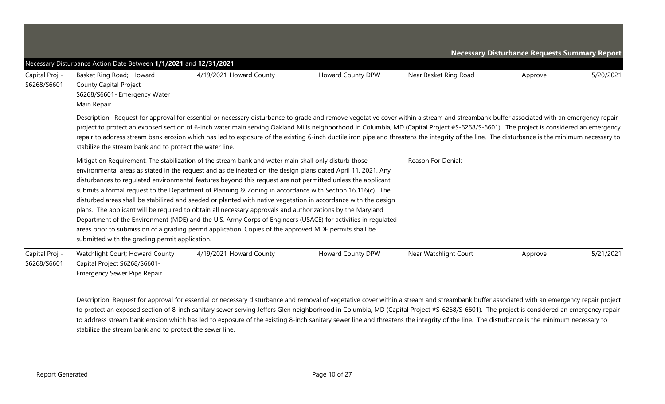|                               |                                                                                                       |                                                                                                                                                                                                                                                                                                                                                                                                                                                                                                                                                                                                                                                                                                                                                                                                                                                                                                            |                          |                       | <b>Necessary Disturbance Requests Summary Report</b> |           |
|-------------------------------|-------------------------------------------------------------------------------------------------------|------------------------------------------------------------------------------------------------------------------------------------------------------------------------------------------------------------------------------------------------------------------------------------------------------------------------------------------------------------------------------------------------------------------------------------------------------------------------------------------------------------------------------------------------------------------------------------------------------------------------------------------------------------------------------------------------------------------------------------------------------------------------------------------------------------------------------------------------------------------------------------------------------------|--------------------------|-----------------------|------------------------------------------------------|-----------|
|                               | Necessary Disturbance Action Date Between 1/1/2021 and 12/31/2021                                     |                                                                                                                                                                                                                                                                                                                                                                                                                                                                                                                                                                                                                                                                                                                                                                                                                                                                                                            |                          |                       |                                                      |           |
| Capital Proj -<br>S6268/S6601 | Basket Ring Road; Howard<br>County Capital Project<br>S6268/S6601- Emergency Water<br>Main Repair     | 4/19/2021 Howard County                                                                                                                                                                                                                                                                                                                                                                                                                                                                                                                                                                                                                                                                                                                                                                                                                                                                                    | Howard County DPW        | Near Basket Ring Road | Approve                                              | 5/20/2021 |
|                               | stabilize the stream bank and to protect the water line.                                              | Description: Request for approval for essential or necessary disturbance to grade and remove vegetative cover within a stream and streambank buffer associated with an emergency repair<br>project to protect an exposed section of 6-inch water main serving Oakland Mills neighborhood in Columbia, MD (Capital Project #S-6268/S-6601). The project is considered an emergency<br>repair to address stream bank erosion which has led to exposure of the existing 6-inch ductile iron pipe and threatens the integrity of the line. The disturbance is the minimum necessary to                                                                                                                                                                                                                                                                                                                         |                          |                       |                                                      |           |
|                               | submitted with the grading permit application.                                                        | Mitigation Requirement: The stabilization of the stream bank and water main shall only disturb those<br>environmental areas as stated in the request and as delineated on the design plans dated April 11, 2021. Any<br>disturbances to regulated environmental features beyond this request are not permitted unless the applicant<br>submits a formal request to the Department of Planning & Zoning in accordance with Section 16.116(c). The<br>disturbed areas shall be stabilized and seeded or planted with native vegetation in accordance with the design<br>plans. The applicant will be required to obtain all necessary approvals and authorizations by the Maryland<br>Department of the Environment (MDE) and the U.S. Army Corps of Engineers (USACE) for activities in regulated<br>areas prior to submission of a grading permit application. Copies of the approved MDE permits shall be |                          | Reason For Denial:    |                                                      |           |
| Capital Proj -<br>S6268/S6601 | Watchlight Court; Howard County<br>Capital Project S6268/S6601-<br><b>Emergency Sewer Pipe Repair</b> | 4/19/2021 Howard County                                                                                                                                                                                                                                                                                                                                                                                                                                                                                                                                                                                                                                                                                                                                                                                                                                                                                    | <b>Howard County DPW</b> | Near Watchlight Court | Approve                                              | 5/21/2021 |

Description: Request for approval for essential or necessary disturbance and removal of vegetative cover within a stream and streambank buffer associated with an emergency repair project to protect an exposed section of 8-inch sanitary sewer serving Jeffers Glen neighborhood in Columbia, MD (Capital Project #S-6268/S-6601). The project is considered an emergency repair to address stream bank erosion which has led to exposure of the existing 8-inch sanitary sewer line and threatens the integrity of the line. The disturbance is the minimum necessary to stabilize the stream bank and to protect the sewer line.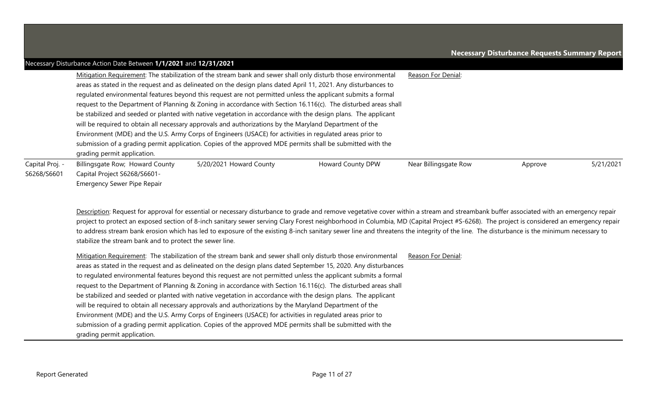|                                | Necessary Disturbance Action Date Between 1/1/2021 and 12/31/2021                                                                                                                                                                                                                                                                                                                                                                                                                                                                                                                                                                            |                                                                                                                                                                                                                                                                                                                                                                                                                                                                                                                                                                                                                                                                                                                                                                                                                                                                                                                          |                   |                       |                      |  |  |  |  |
|--------------------------------|----------------------------------------------------------------------------------------------------------------------------------------------------------------------------------------------------------------------------------------------------------------------------------------------------------------------------------------------------------------------------------------------------------------------------------------------------------------------------------------------------------------------------------------------------------------------------------------------------------------------------------------------|--------------------------------------------------------------------------------------------------------------------------------------------------------------------------------------------------------------------------------------------------------------------------------------------------------------------------------------------------------------------------------------------------------------------------------------------------------------------------------------------------------------------------------------------------------------------------------------------------------------------------------------------------------------------------------------------------------------------------------------------------------------------------------------------------------------------------------------------------------------------------------------------------------------------------|-------------------|-----------------------|----------------------|--|--|--|--|
|                                | grading permit application.                                                                                                                                                                                                                                                                                                                                                                                                                                                                                                                                                                                                                  | Mitigation Requirement: The stabilization of the stream bank and sewer shall only disturb those environmental<br>areas as stated in the request and as delineated on the design plans dated April 11, 2021. Any disturbances to<br>regulated environmental features beyond this request are not permitted unless the applicant submits a formal<br>request to the Department of Planning & Zoning in accordance with Section 16.116(c). The disturbed areas shall<br>be stabilized and seeded or planted with native vegetation in accordance with the design plans. The applicant<br>will be required to obtain all necessary approvals and authorizations by the Maryland Department of the<br>Environment (MDE) and the U.S. Army Corps of Engineers (USACE) for activities in regulated areas prior to<br>submission of a grading permit application. Copies of the approved MDE permits shall be submitted with the |                   | Reason For Denial:    | 5/21/2021<br>Approve |  |  |  |  |
| Capital Proj. -<br>S6268/S6601 | Billingsgate Row; Howard County<br>Capital Project S6268/S6601-<br><b>Emergency Sewer Pipe Repair</b>                                                                                                                                                                                                                                                                                                                                                                                                                                                                                                                                        | 5/20/2021 Howard County                                                                                                                                                                                                                                                                                                                                                                                                                                                                                                                                                                                                                                                                                                                                                                                                                                                                                                  | Howard County DPW | Near Billingsgate Row |                      |  |  |  |  |
|                                | Description: Request for approval for essential or necessary disturbance to grade and remove vegetative cover within a stream and streambank buffer associated with an emergency repair<br>project to protect an exposed section of 8-inch sanitary sewer serving Clary Forest neighborhood in Columbia, MD (Capital Project #S-6268). The project is considered an emergency repair<br>to address stream bank erosion which has led to exposure of the existing 8-inch sanitary sewer line and threatens the integrity of the line. The disturbance is the minimum necessary to<br>stabilize the stream bank and to protect the sewer line. |                                                                                                                                                                                                                                                                                                                                                                                                                                                                                                                                                                                                                                                                                                                                                                                                                                                                                                                          |                   |                       |                      |  |  |  |  |
|                                | Mitigation Requirement: The stabilization of the stream bank and sewer shall only disturb those environmental<br>Reason For Denial:<br>areas as stated in the request and as delineated on the design plans dated September 15, 2020. Any disturbances<br>to regulated environmental features beyond this request are not permitted unless the applicant submits a formal                                                                                                                                                                                                                                                                    |                                                                                                                                                                                                                                                                                                                                                                                                                                                                                                                                                                                                                                                                                                                                                                                                                                                                                                                          |                   |                       |                      |  |  |  |  |

to regulated environmental features beyond this request are not permitted unless the applicant submits a formal request to the Department of Planning & Zoning in accordance with Section 16.116(c). The disturbed areas shall be stabilized and seeded or planted with native vegetation in accordance with the design plans. The applicant will be required to obtain all necessary approvals and authorizations by the Maryland Department of the Environment (MDE) and the U.S. Army Corps of Engineers (USACE) for activities in regulated areas prior to submission of a grading permit application. Copies of the approved MDE permits shall be submitted with the grading permit application.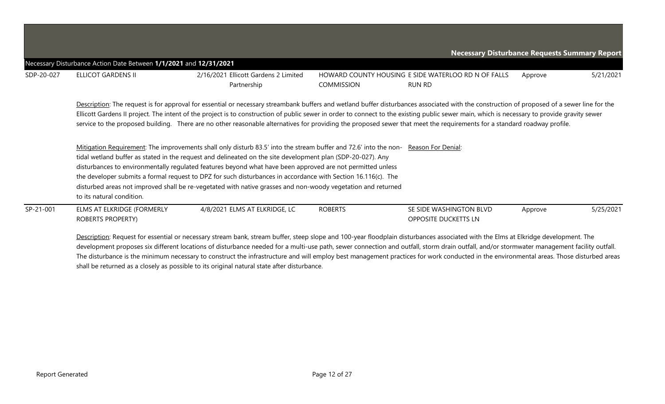|            | Necessary Disturbance Action Date Between 1/1/2021 and 12/31/2021 |                                                                                                                                                                                                                                                                                                                                                                                                                                                                                                                                                                                |                   |                                                                      | <b>Necessary Disturbance Requests Summary Report</b> |           |
|------------|-------------------------------------------------------------------|--------------------------------------------------------------------------------------------------------------------------------------------------------------------------------------------------------------------------------------------------------------------------------------------------------------------------------------------------------------------------------------------------------------------------------------------------------------------------------------------------------------------------------------------------------------------------------|-------------------|----------------------------------------------------------------------|------------------------------------------------------|-----------|
| SDP-20-027 | ELLICOT GARDENS II                                                | 2/16/2021 Ellicott Gardens 2 Limited<br>Partnership                                                                                                                                                                                                                                                                                                                                                                                                                                                                                                                            | <b>COMMISSION</b> | HOWARD COUNTY HOUSING E SIDE WATERLOO RD N OF FALLS<br><b>RUN RD</b> | Approve                                              | 5/21/2021 |
|            |                                                                   | Description: The request is for approval for essential or necessary streambank buffers and wetland buffer disturbances associated with the construction of proposed of a sewer line for the<br>Ellicott Gardens II project. The intent of the project is to construction of public sewer in order to connect to the existing public sewer main, which is necessary to provide gravity sewer<br>service to the proposed building. There are no other reasonable alternatives for providing the proposed sewer that meet the requirements for a standard roadway profile.        |                   |                                                                      |                                                      |           |
|            | to its natural condition.                                         | Mitigation Requirement: The improvements shall only disturb 83.5' into the stream buffer and 72.6' into the non-<br>tidal wetland buffer as stated in the request and delineated on the site development plan (SDP-20-027). Any<br>disturbances to environmentally regulated features beyond what have been approved are not permitted unless<br>the developer submits a formal request to DPZ for such disturbances in accordance with Section 16.116(c). The<br>disturbed areas not improved shall be re-vegetated with native grasses and non-woody vegetation and returned |                   | Reason For Denial:                                                   |                                                      |           |
| SP-21-001  | ELMS AT ELKRIDGE (FORMERLY<br>ROBERTS PROPERTY)                   | 4/8/2021 ELMS AT ELKRIDGE, LC                                                                                                                                                                                                                                                                                                                                                                                                                                                                                                                                                  | <b>ROBERTS</b>    | SE SIDE WASHINGTON BLVD<br><b>OPPOSITE DUCKETTS LN</b>               | Approve                                              | 5/25/2021 |

Description: Request for essential or necessary stream bank, stream buffer, steep slope and 100-year floodplain disturbances associated with the Elms at Elkridge development. The development proposes six different locations of disturbance needed for a multi-use path, sewer connection and outfall, storm drain outfall, and/or stormwater management facility outfall. The disturbance is the minimum necessary to construct the infrastructure and will employ best management practices for work conducted in the environmental areas. Those disturbed areas shall be returned as a closely as possible to its original natural state after disturbance.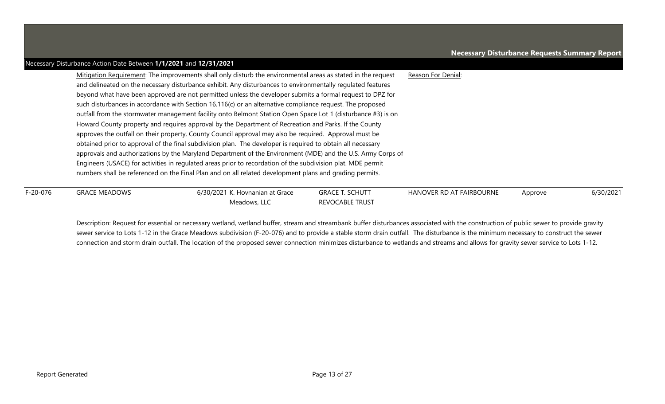|            | Necessary Disturbance Action Date Between 1/1/2021 and 12/31/2021 |                                                                                                                                                                                                                                                                                                                                                                                                                                                                                                                                                                                                                                                                                                                                                                                                                                                                                                                                                                                                                                                                                                                                                                                                                                                   |                                                  |                          |         |           |
|------------|-------------------------------------------------------------------|---------------------------------------------------------------------------------------------------------------------------------------------------------------------------------------------------------------------------------------------------------------------------------------------------------------------------------------------------------------------------------------------------------------------------------------------------------------------------------------------------------------------------------------------------------------------------------------------------------------------------------------------------------------------------------------------------------------------------------------------------------------------------------------------------------------------------------------------------------------------------------------------------------------------------------------------------------------------------------------------------------------------------------------------------------------------------------------------------------------------------------------------------------------------------------------------------------------------------------------------------|--------------------------------------------------|--------------------------|---------|-----------|
|            |                                                                   | Mitigation Requirement: The improvements shall only disturb the environmental areas as stated in the request<br>and delineated on the necessary disturbance exhibit. Any disturbances to environmentally regulated features<br>beyond what have been approved are not permitted unless the developer submits a formal request to DPZ for<br>such disturbances in accordance with Section 16.116(c) or an alternative compliance request. The proposed<br>outfall from the stormwater management facility onto Belmont Station Open Space Lot 1 (disturbance #3) is on<br>Howard County property and requires approval by the Department of Recreation and Parks. If the County<br>approves the outfall on their property, County Council approval may also be required. Approval must be<br>obtained prior to approval of the final subdivision plan. The developer is required to obtain all necessary<br>approvals and authorizations by the Maryland Department of the Environment (MDE) and the U.S. Army Corps of<br>Engineers (USACE) for activities in regulated areas prior to recordation of the subdivision plat. MDE permit<br>numbers shall be referenced on the Final Plan and on all related development plans and grading permits. |                                                  | Reason For Denial:       |         |           |
| $F-20-076$ | <b>GRACE MEADOWS</b>                                              | 6/30/2021 K. Hovnanian at Grace<br>Meadows, LLC                                                                                                                                                                                                                                                                                                                                                                                                                                                                                                                                                                                                                                                                                                                                                                                                                                                                                                                                                                                                                                                                                                                                                                                                   | <b>GRACE T. SCHUTT</b><br><b>REVOCABLE TRUST</b> | HANOVER RD AT FAIRBOURNE | Approve | 6/30/2021 |

Description: Request for essential or necessary wetland, wetland buffer, stream and streambank buffer disturbances associated with the construction of public sewer to provide gravity sewer service to Lots 1-12 in the Grace Meadows subdivision (F-20-076) and to provide a stable storm drain outfall. The disturbance is the minimum necessary to construct the sewer connection and storm drain outfall. The location of the proposed sewer connection minimizes disturbance to wetlands and streams and allows for gravity sewer service to Lots 1-12.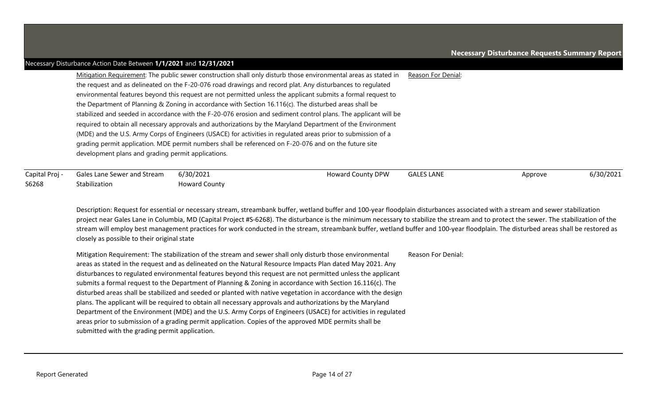| S6268          | Stabilization                                                     | <b>Howard County</b> |                                                                                                                                                                                                                              |                    |         |           |
|----------------|-------------------------------------------------------------------|----------------------|------------------------------------------------------------------------------------------------------------------------------------------------------------------------------------------------------------------------------|--------------------|---------|-----------|
| Capital Proj - | Gales Lane Sewer and Stream                                       | 6/30/2021            | <b>Howard County DPW</b>                                                                                                                                                                                                     | <b>GALES LANE</b>  | Approve | 6/30/2021 |
|                | development plans and grading permit applications.                |                      | grading permit application. MDE permit numbers shall be referenced on F-20-076 and on the future site                                                                                                                        |                    |         |           |
|                |                                                                   |                      | required to obtain all necessary approvals and authorizations by the Maryland Department of the Environment<br>(MDE) and the U.S. Army Corps of Engineers (USACE) for activities in regulated areas prior to submission of a |                    |         |           |
|                |                                                                   |                      | stabilized and seeded in accordance with the F-20-076 erosion and sediment control plans. The applicant will be                                                                                                              |                    |         |           |
|                |                                                                   |                      | the Department of Planning & Zoning in accordance with Section 16.116(c). The disturbed areas shall be                                                                                                                       |                    |         |           |
|                |                                                                   |                      | environmental features beyond this request are not permitted unless the applicant submits a formal request to                                                                                                                |                    |         |           |
|                |                                                                   |                      | the request and as delineated on the F-20-076 road drawings and record plat. Any disturbances to regulated                                                                                                                   |                    |         |           |
|                |                                                                   |                      | Mitigation Requirement: The public sewer construction shall only disturb those environmental areas as stated in                                                                                                              | Reason For Denial: |         |           |
|                | Necessary Disturbance Action Date Between 1/1/2021 and 12/31/2021 |                      |                                                                                                                                                                                                                              |                    |         |           |

Description: Request for essential or necessary stream, streambank buffer, wetland buffer and 100-year floodplain disturbances associated with a stream and sewer stabilization project near Gales Lane in Columbia, MD (Capital Project #S-6268). The disturbance is the minimum necessary to stabilize the stream and to protect the sewer. The stabilization of the stream will employ best management practices for work conducted in the stream, streambank buffer, wetland buffer and 100-year floodplain. The disturbed areas shall be restored as closely as possible to their original state

Reason For Denial: Mitigation Requirement: The stabilization of the stream and sewer shall only disturb those environmental areas as stated in the request and as delineated on the Natural Resource Impacts Plan dated May 2021. Any disturbances to regulated environmental features beyond this request are not permitted unless the applicant submits a formal request to the Department of Planning & Zoning in accordance with Section 16.116(c). The disturbed areas shall be stabilized and seeded or planted with native vegetation in accordance with the design plans. The applicant will be required to obtain all necessary approvals and authorizations by the Maryland Department of the Environment (MDE) and the U.S. Army Corps of Engineers (USACE) for activities in regulated areas prior to submission of a grading permit application. Copies of the approved MDE permits shall be submitted with the grading permit application.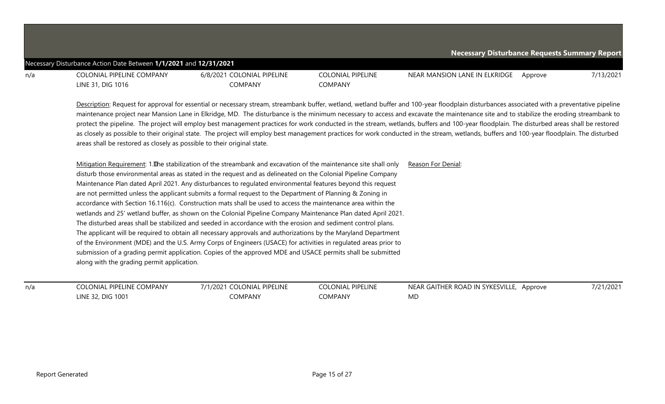| n/a | <b>COMPANY</b><br>COLONIAL<br>וח<br>ت NE C | PIPELINE<br><b>COLONIAL</b><br>6/8/202 | <b>PIPFI</b><br>COLONIAL<br>.INE | SION LANE IN ELKRIDGE<br>: MANSI<br>NEAR | Approve | 7 11 7 17 0 7 1<br>7137202 |
|-----|--------------------------------------------|----------------------------------------|----------------------------------|------------------------------------------|---------|----------------------------|
|     | <b>DIG 1016</b><br>LINE                    | <b>OMPANY</b>                          | <b>COMPANY</b>                   |                                          |         |                            |

Description: Request for approval for essential or necessary stream, streambank buffer, wetland, wetland buffer and 100-year floodplain disturbances associated with a preventative pipeline maintenance project near Mansion Lane in Elkridge, MD. The disturbance is the minimum necessary to access and excavate the maintenance site and to stabilize the eroding streambank to protect the pipeline. The project will employ best management practices for work conducted in the stream, wetlands, buffers and 100-year floodplain. The disturbed areas shall be restored as closely as possible to their original state. The project will employ best management practices for work conducted in the stream, wetlands, buffers and 100-year floodplain. The disturbed areas shall be restored as closely as possible to their original state.

Mitigation Requirement: 1. The stabilization of the streambank and excavation of the maintenance site shall only disturb those environmental areas as stated in the request and as delineated on the Colonial Pipeline Company Maintenance Plan dated April 2021. Any disturbances to regulated environmental features beyond this request are not permitted unless the applicant submits a formal request to the Department of Planning & Zoning in accordance with Section 16.116(c). Construction mats shall be used to access the maintenance area within the wetlands and 25' wetland buffer, as shown on the Colonial Pipeline Company Maintenance Plan dated April 2021. The disturbed areas shall be stabilized and seeded in accordance with the erosion and sediment control plans. The applicant will be required to obtain all necessary approvals and authorizations by the Maryland Department of the Environment (MDE) and the U.S. Army Corps of Engineers (USACE) for activities in regulated areas prior to submission of a grading permit application. Copies of the approved MDE and USACE permits shall be submitted along with the grading permit application. Reason For Denial:

| n/a | COLONIAL PIPELINE COMPANY | 7/1/2021 COLONIAL PIPELINE | <b>COLONIAL PIPELINE</b> | NEAR GAITHER ROAD IN SYKESVILLE, Approve | 7/21/2021 |
|-----|---------------------------|----------------------------|--------------------------|------------------------------------------|-----------|
|     | LINE 32, DIG 1001         | COMPANY                    | COMPANY                  | MD                                       |           |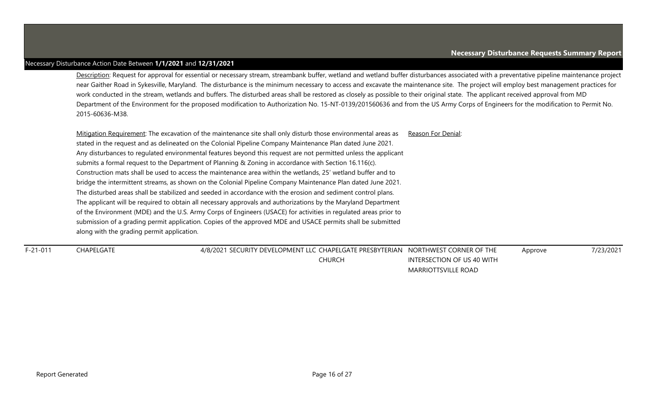Description: Request for approval for essential or necessary stream, streambank buffer, wetland and wetland buffer disturbances associated with a preventative pipeline maintenance project near Gaither Road in Sykesville, Maryland. The disturbance is the minimum necessary to access and excavate the maintenance site. The project will employ best management practices for work conducted in the stream, wetlands and buffers. The disturbed areas shall be restored as closely as possible to their original state. The applicant received approval from MD Department of the Environment for the proposed modification to Authorization No. 15-NT-0139/201560636 and from the US Army Corps of Engineers for the modification to Permit No. 2015-60636-M38.

Mitigation Requirement: The excavation of the maintenance site shall only disturb those environmental areas as stated in the request and as delineated on the Colonial Pipeline Company Maintenance Plan dated June 2021. Any disturbances to regulated environmental features beyond this request are not permitted unless the applicant submits a formal request to the Department of Planning & Zoning in accordance with Section 16.116(c). Construction mats shall be used to access the maintenance area within the wetlands, 25' wetland buffer and to bridge the intermittent streams, as shown on the Colonial Pipeline Company Maintenance Plan dated June 2021. The disturbed areas shall be stabilized and seeded in accordance with the erosion and sediment control plans. The applicant will be required to obtain all necessary approvals and authorizations by the Maryland Department of the Environment (MDE) and the U.S. Army Corps of Engineers (USACE) for activities in regulated areas prior to submission of a grading permit application. Copies of the approved MDE and USACE permits shall be submitted along with the grading permit application. Reason For Denial:

F-21-011 CHAPELGATE 4/8/2021 SECURITY DEVELOPMENT LLC CHAPELGATE PRESBYTERIAN NORTHWEST CORNER OF THE INTERSECTION OF US 40 WITH MARRIOTTSVILLE ROAD Approve 7/23/2021 CHURCH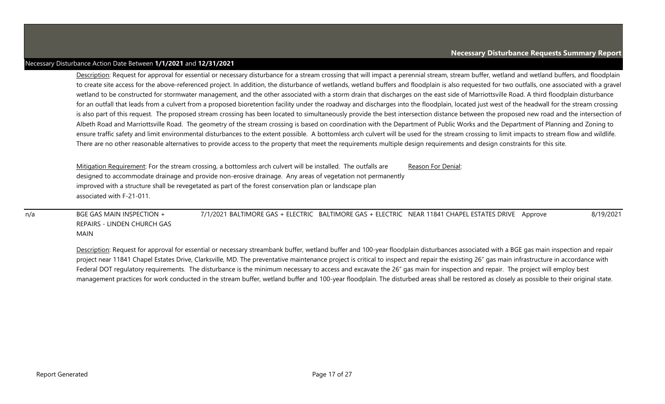Description: Request for approval for essential or necessary disturbance for a stream crossing that will impact a perennial stream, stream buffer, wetland and wetland buffers, and floodplain to create site access for the above-referenced project. In addition, the disturbance of wetlands, wetland buffers and floodplain is also requested for two outfalls, one associated with a gravel wetland to be constructed for stormwater management, and the other associated with a storm drain that discharges on the east side of Marriottsville Road. A third floodplain disturbance for an outfall that leads from a culvert from a proposed bioretention facility under the roadway and discharges into the floodplain, located just west of the headwall for the stream crossing is also part of this request. The proposed stream crossing has been located to simultaneously provide the best intersection distance between the proposed new road and the intersection of Albeth Road and Marriottsville Road. The geometry of the stream crossing is based on coordination with the Department of Public Works and the Department of Planning and Zoning to ensure traffic safety and limit environmental disturbances to the extent possible. A bottomless arch culvert will be used for the stream crossing to limit impacts to stream flow and wildlife. There are no other reasonable alternatives to provide access to the property that meet the requirements multiple design requirements and design constraints for this site.

Mitigation Requirement: For the stream crossing, a bottomless arch culvert will be installed. The outfalls are designed to accommodate drainage and provide non-erosive drainage. Any areas of vegetation not permanently improved with a structure shall be revegetated as part of the forest conservation plan or landscape plan associated with F-21-011. Reason For Denial:

n/a BGE GAS MAIN INSPECTION + REPAIRS - LINDEN CHURCH GAS MAIN 7/1/2021 BALTIMORE GAS + ELECTRIC BALTIMORE GAS + ELECTRIC NEAR 11841 CHAPEL ESTATES DRIVE Approve 8/19/2021

Description: Request for approval for essential or necessary streambank buffer, wetland buffer and 100-year floodplain disturbances associated with a BGE gas main inspection and repair project near 11841 Chapel Estates Drive, Clarksville, MD. The preventative maintenance project is critical to inspect and repair the existing 26" gas main infrastructure in accordance with Federal DOT regulatory reguirements. The disturbance is the minimum necessary to access and excavate the 26" gas main for inspection and repair. The project will employ best management practices for work conducted in the stream buffer, wetland buffer and 100-year floodplain. The disturbed areas shall be restored as closely as possible to their original state.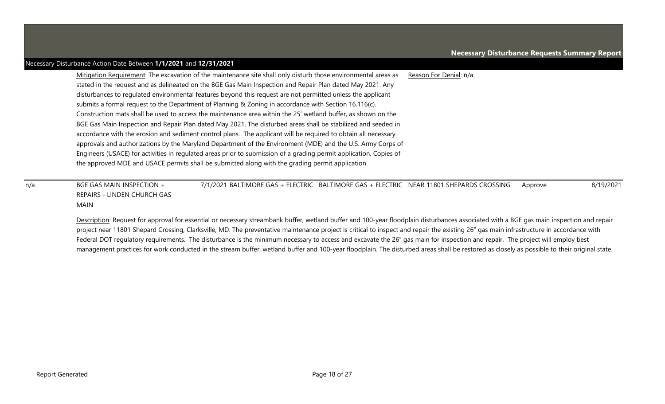Mitigation Requirement: The excavation of the maintenance site shall only disturb those environmental areas as stated in the request and as delineated on the BGE Gas Main Inspection and Repair Plan dated May 2021. Any disturbances to regulated environmental features beyond this request are not permitted unless the applicant submits a formal request to the Department of Planning & Zoning in accordance with Section 16.116(c). Construction mats shall be used to access the maintenance area within the 25' wetland buffer, as shown on the BGE Gas Main Inspection and Repair Plan dated May 2021. The disturbed areas shall be stabilized and seeded in accordance with the erosion and sediment control plans. The applicant will be required to obtain all necessary approvals and authorizations by the Maryland Department of the Environment (MDE) and the U.S. Army Corps of Engineers (USACE) for activities in regulated areas prior to submission of a grading permit application. Copies of the approved MDE and USACE permits shall be submitted along with the grading permit application. Reason For Denial: n/a

n/a BGE GAS MAIN INSPECTION + REPAIRS - LINDEN CHURCH GAS MAIN 7/1/2021 BALTIMORE GAS + ELECTRIC BALTIMORE GAS + ELECTRIC NEAR 11801 SHEPARDS CROSSING Approve 8/19/2021

Description: Request for approval for essential or necessary streambank buffer, wetland buffer and 100-year floodplain disturbances associated with a BGE gas main inspection and repair project near 11801 Shepard Crossing, Clarksville, MD. The preventative maintenance project is critical to inspect and repair the existing 26" gas main infrastructure in accordance with Federal DOT regulatory reguirements. The disturbance is the minimum necessary to access and excavate the 26" gas main for inspection and repair. The project will employ best management practices for work conducted in the stream buffer, wetland buffer and 100-year floodplain. The disturbed areas shall be restored as closely as possible to their original state.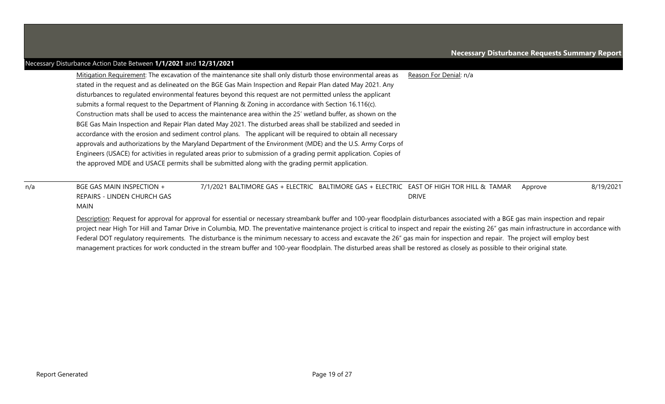|  |  | Necessary Disturbance Action Date Between 1/1/2021 and 12/31/2021 |  |  |  |
|--|--|-------------------------------------------------------------------|--|--|--|
|--|--|-------------------------------------------------------------------|--|--|--|

| Mitigation Requirement: The excavation of the maintenance site shall only disturb those environmental areas as     | Reason For Denial: n/a |
|--------------------------------------------------------------------------------------------------------------------|------------------------|
| stated in the request and as delineated on the BGE Gas Main Inspection and Repair Plan dated May 2021. Any         |                        |
| disturbances to regulated environmental features beyond this request are not permitted unless the applicant        |                        |
| submits a formal request to the Department of Planning & Zoning in accordance with Section 16.116(c).              |                        |
| Construction mats shall be used to access the maintenance area within the 25' wetland buffer, as shown on the      |                        |
| BGE Gas Main Inspection and Repair Plan dated May 2021. The disturbed areas shall be stabilized and seeded in      |                        |
| accordance with the erosion and sediment control plans. The applicant will be required to obtain all necessary     |                        |
| approvals and authorizations by the Maryland Department of the Environment (MDE) and the U.S. Army Corps of        |                        |
| Engineers (USACE) for activities in regulated areas prior to submission of a grading permit application. Copies of |                        |
| the approved MDE and USACE permits shall be submitted along with the grading permit application.                   |                        |

n/a BGE GAS MAIN INSPECTION + REPAIRS - LINDEN CHURCH GAS MAIN 7/1/2021 BALTIMORE GAS + ELECTRIC BALTIMORE GAS + ELECTRIC EAST OF HIGH TOR HILL & TAMAR DRIVE Approve 8/19/2021

Description: Request for approval for approval for essential or necessary streambank buffer and 100-year floodplain disturbances associated with a BGE gas main inspection and repair project near High Tor Hill and Tamar Drive in Columbia, MD. The preventative maintenance project is critical to inspect and repair the existing 26" gas main infrastructure in accordance with Federal DOT regulatory requirements. The disturbance is the minimum necessary to access and excavate the 26" gas main for inspection and repair. The project will employ best management practices for work conducted in the stream buffer and 100-year floodplain. The disturbed areas shall be restored as closely as possible to their original state.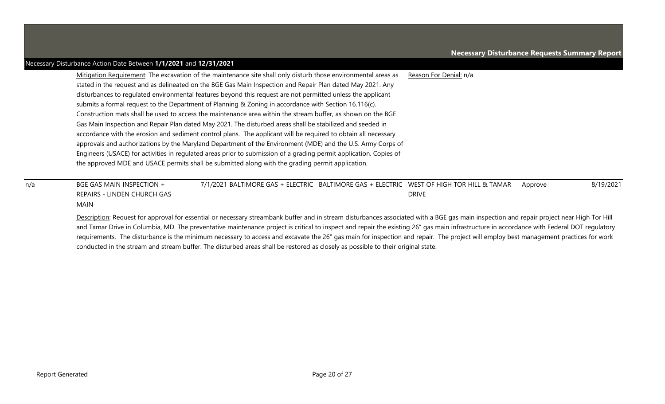|  | Necessary Disturbance Action Date Between 1/1/2021 and 12/31/2021 |  |  |  |
|--|-------------------------------------------------------------------|--|--|--|
|--|-------------------------------------------------------------------|--|--|--|

| Mitigation Requirement: The excavation of the maintenance site shall only disturb those environmental areas as     | Reason For Denial: n/a |
|--------------------------------------------------------------------------------------------------------------------|------------------------|
| stated in the request and as delineated on the BGE Gas Main Inspection and Repair Plan dated May 2021. Any         |                        |
| disturbances to regulated environmental features beyond this request are not permitted unless the applicant        |                        |
| submits a formal request to the Department of Planning & Zoning in accordance with Section 16.116(c).              |                        |
| Construction mats shall be used to access the maintenance area within the stream buffer, as shown on the BGE       |                        |
| Gas Main Inspection and Repair Plan dated May 2021. The disturbed areas shall be stabilized and seeded in          |                        |
| accordance with the erosion and sediment control plans. The applicant will be required to obtain all necessary     |                        |
| approvals and authorizations by the Maryland Department of the Environment (MDE) and the U.S. Army Corps of        |                        |
| Engineers (USACE) for activities in regulated areas prior to submission of a grading permit application. Copies of |                        |
| the approved MDE and USACE permits shall be submitted along with the grading permit application.                   |                        |

n/a BGE GAS MAIN INSPECTION + REPAIRS - LINDEN CHURCH GAS MAIN 7/1/2021 BALTIMORE GAS + ELECTRIC BALTIMORE GAS + ELECTRIC WEST OF HIGH TOR HILL & TAMAR DRIVE Approve 8/19/2021

Description: Request for approval for essential or necessary streambank buffer and in stream disturbances associated with a BGE gas main inspection and repair project near High Tor Hill and Tamar Drive in Columbia, MD. The preventative maintenance project is critical to inspect and repair the existing 26" gas main infrastructure in accordance with Federal DOT regulatory requirements. The disturbance is the minimum necessary to access and excavate the 26" gas main for inspection and repair. The project will employ best management practices for work conducted in the stream and stream buffer. The disturbed areas shall be restored as closely as possible to their original state.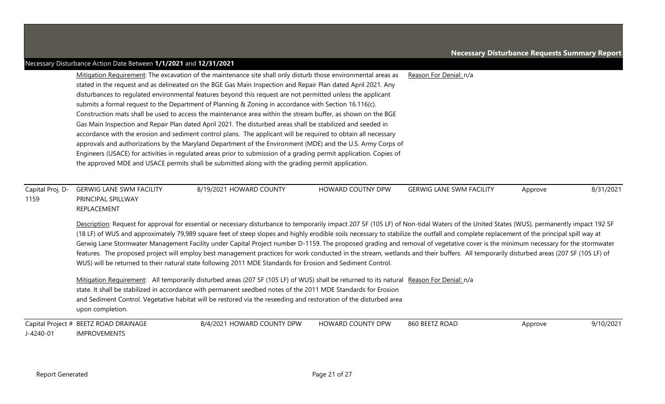|                          | Necessary Disturbance Action Date Between 1/1/2021 and 12/31/2021    |                                                                                                                                                                                                                                                                                                                                                                                                                                                                                                                                                                                                                                                                                                                                                                                                                                                                                                                                                                                                                                                                                                                                                                                                                                                                     |                   |                                 |         |           |
|--------------------------|----------------------------------------------------------------------|---------------------------------------------------------------------------------------------------------------------------------------------------------------------------------------------------------------------------------------------------------------------------------------------------------------------------------------------------------------------------------------------------------------------------------------------------------------------------------------------------------------------------------------------------------------------------------------------------------------------------------------------------------------------------------------------------------------------------------------------------------------------------------------------------------------------------------------------------------------------------------------------------------------------------------------------------------------------------------------------------------------------------------------------------------------------------------------------------------------------------------------------------------------------------------------------------------------------------------------------------------------------|-------------------|---------------------------------|---------|-----------|
|                          |                                                                      | Mitigation Requirement: The excavation of the maintenance site shall only disturb those environmental areas as                                                                                                                                                                                                                                                                                                                                                                                                                                                                                                                                                                                                                                                                                                                                                                                                                                                                                                                                                                                                                                                                                                                                                      |                   | Reason For Denial: n/a          |         |           |
|                          |                                                                      | stated in the request and as delineated on the BGE Gas Main Inspection and Repair Plan dated April 2021. Any                                                                                                                                                                                                                                                                                                                                                                                                                                                                                                                                                                                                                                                                                                                                                                                                                                                                                                                                                                                                                                                                                                                                                        |                   |                                 |         |           |
|                          |                                                                      | disturbances to regulated environmental features beyond this request are not permitted unless the applicant                                                                                                                                                                                                                                                                                                                                                                                                                                                                                                                                                                                                                                                                                                                                                                                                                                                                                                                                                                                                                                                                                                                                                         |                   |                                 |         |           |
|                          |                                                                      | submits a formal request to the Department of Planning & Zoning in accordance with Section 16.116(c).                                                                                                                                                                                                                                                                                                                                                                                                                                                                                                                                                                                                                                                                                                                                                                                                                                                                                                                                                                                                                                                                                                                                                               |                   |                                 |         |           |
|                          |                                                                      | Construction mats shall be used to access the maintenance area within the stream buffer, as shown on the BGE                                                                                                                                                                                                                                                                                                                                                                                                                                                                                                                                                                                                                                                                                                                                                                                                                                                                                                                                                                                                                                                                                                                                                        |                   |                                 |         |           |
|                          |                                                                      | Gas Main Inspection and Repair Plan dated April 2021. The disturbed areas shall be stabilized and seeded in                                                                                                                                                                                                                                                                                                                                                                                                                                                                                                                                                                                                                                                                                                                                                                                                                                                                                                                                                                                                                                                                                                                                                         |                   |                                 |         |           |
|                          |                                                                      | accordance with the erosion and sediment control plans. The applicant will be required to obtain all necessary                                                                                                                                                                                                                                                                                                                                                                                                                                                                                                                                                                                                                                                                                                                                                                                                                                                                                                                                                                                                                                                                                                                                                      |                   |                                 |         |           |
|                          |                                                                      | approvals and authorizations by the Maryland Department of the Environment (MDE) and the U.S. Army Corps of                                                                                                                                                                                                                                                                                                                                                                                                                                                                                                                                                                                                                                                                                                                                                                                                                                                                                                                                                                                                                                                                                                                                                         |                   |                                 |         |           |
|                          |                                                                      | Engineers (USACE) for activities in regulated areas prior to submission of a grading permit application. Copies of                                                                                                                                                                                                                                                                                                                                                                                                                                                                                                                                                                                                                                                                                                                                                                                                                                                                                                                                                                                                                                                                                                                                                  |                   |                                 |         |           |
|                          |                                                                      | the approved MDE and USACE permits shall be submitted along with the grading permit application.                                                                                                                                                                                                                                                                                                                                                                                                                                                                                                                                                                                                                                                                                                                                                                                                                                                                                                                                                                                                                                                                                                                                                                    |                   |                                 |         |           |
|                          |                                                                      |                                                                                                                                                                                                                                                                                                                                                                                                                                                                                                                                                                                                                                                                                                                                                                                                                                                                                                                                                                                                                                                                                                                                                                                                                                                                     |                   |                                 |         |           |
| Capital Proj. D-<br>1159 | <b>GERWIG LANE SWM FACILITY</b><br>PRINCIPAL SPILLWAY<br>REPLACEMENT | 8/19/2021 HOWARD COUNTY                                                                                                                                                                                                                                                                                                                                                                                                                                                                                                                                                                                                                                                                                                                                                                                                                                                                                                                                                                                                                                                                                                                                                                                                                                             | HOWARD COUTNY DPW | <b>GERWIG LANE SWM FACILITY</b> | Approve | 8/31/2021 |
|                          |                                                                      | Description: Request for approval for essential or necessary disturbance to temporarily impact 207 SF (105 LF) of Non-tidal Waters of the United States (WUS), permanently impact 192 SF<br>(18 LF) of WUS and approximately 79,989 square feet of steep slopes and highly erodible soils necessary to stabilize the outfall and complete replacement of the principal spill way at<br>Gerwig Lane Stormwater Management Facility under Capital Project number D-1159. The proposed grading and removal of vegetative cover is the minimum necessary for the stormwater<br>features. The proposed project will employ best management practices for work conducted in the stream, wetlands and their buffers. All temporarily disturbed areas (207 SF (105 LF) of<br>WUS) will be returned to their natural state following 2011 MDE Standards for Erosion and Sediment Control.<br>Mitigation Requirement: All temporarily disturbed areas (207 SF (105 LF) of WUS) shall be returned to its natural Reason For Denial: n/a<br>state. It shall be stabilized in accordance with permanent seedbed notes of the 2011 MDE Standards for Erosion<br>and Sediment Control. Vegetative habitat will be restored via the reseeding and restoration of the disturbed area |                   |                                 |         |           |
|                          | upon completion.                                                     |                                                                                                                                                                                                                                                                                                                                                                                                                                                                                                                                                                                                                                                                                                                                                                                                                                                                                                                                                                                                                                                                                                                                                                                                                                                                     |                   |                                 |         |           |
| J-4240-01                | Capital Project # BEETZ ROAD DRAINAGE<br><b>IMPROVEMENTS</b>         | 8/4/2021 HOWARD COUNTY DPW                                                                                                                                                                                                                                                                                                                                                                                                                                                                                                                                                                                                                                                                                                                                                                                                                                                                                                                                                                                                                                                                                                                                                                                                                                          | HOWARD COUNTY DPW | 860 BEETZ ROAD                  | Approve | 9/10/2021 |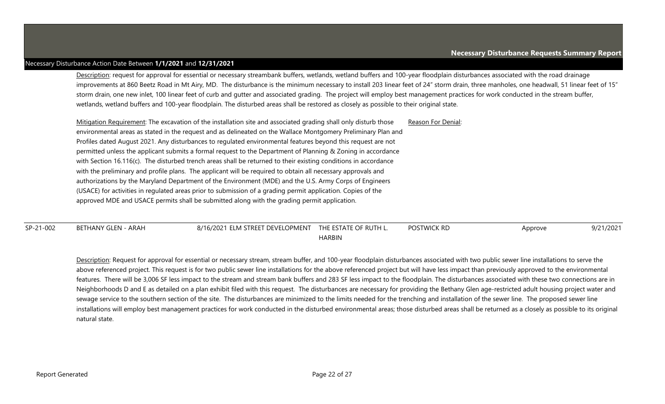Description: request for approval for essential or necessary streambank buffers, wetlands, wetland buffers and 100-year floodplain disturbances associated with the road drainage improvements at 860 Beetz Road in Mt Airy, MD. The disturbance is the minimum necessary to install 203 linear feet of 24" storm drain, three manholes, one headwall, 51 linear feet of 15" storm drain, one new inlet, 100 linear feet of curb and gutter and associated grading. The project will employ best management practices for work conducted in the stream buffer, wetlands, wetland buffers and 100-year floodplain. The disturbed areas shall be restored as closely as possible to their original state.

| Mitigation Requirement: The excavation of the installation site and associated grading shall only disturb those | Reason For Denial: |  |
|-----------------------------------------------------------------------------------------------------------------|--------------------|--|
| environmental areas as stated in the request and as delineated on the Wallace Montgomery Preliminary Plan and   |                    |  |
| Profiles dated August 2021. Any disturbances to regulated environmental features beyond this request are not    |                    |  |
| permitted unless the applicant submits a formal request to the Department of Planning & Zoning in accordance    |                    |  |
| with Section 16.116(c). The disturbed trench areas shall be returned to their existing conditions in accordance |                    |  |
| with the preliminary and profile plans. The applicant will be required to obtain all necessary approvals and    |                    |  |
| authorizations by the Maryland Department of the Environment (MDE) and the U.S. Army Corps of Engineers         |                    |  |
| (USACE) for activities in regulated areas prior to submission of a grading permit application. Copies of the    |                    |  |
| approved MDE and USACE permits shall be submitted along with the grading permit application.                    |                    |  |
|                                                                                                                 |                    |  |

SP-21-002 BETHANY GLEN - ARAH 8/16/2021 ELM STREET DEVELOPMENT THE ESTATE OF RUTH L. POSTWICK RD 9/21/2021 HARBIN

Description: Request for approval for essential or necessary stream, stream buffer, and 100-year floodplain disturbances associated with two public sewer line installations to serve the above referenced project. This request is for two public sewer line installations for the above referenced project but will have less impact than previously approved to the environmental features. There will be 3,006 SF less impact to the stream and stream bank buffers and 283 SF less impact to the floodplain. The disturbances associated with these two connections are in Neighborhoods D and E as detailed on a plan exhibit filed with this request. The disturbances are necessary for providing the Bethany Glen age-restricted adult housing project water and sewage service to the southern section of the site. The disturbances are minimized to the limits needed for the trenching and installation of the sewer line. The proposed sewer line installations will employ best management practices for work conducted in the disturbed environmental areas; those disturbed areas shall be returned as a closely as possible to its original natural state.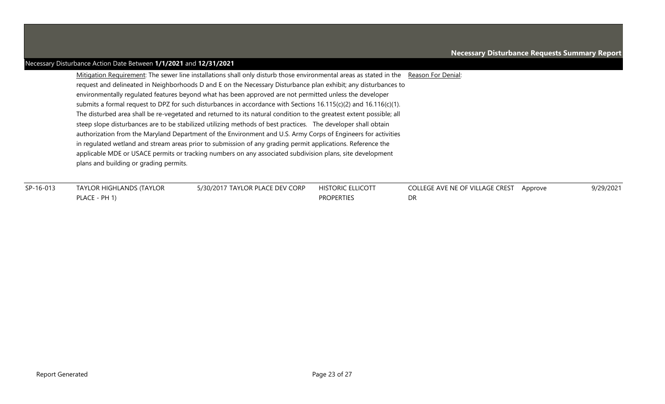| Mitigation Requirement: The sewer line installations shall only disturb those environmental areas as stated in the Reason For Denial: |
|---------------------------------------------------------------------------------------------------------------------------------------|
| request and delineated in Neighborhoods D and E on the Necessary Disturbance plan exhibit; any disturbances to                        |
| environmentally regulated features beyond what has been approved are not permitted unless the developer                               |
| submits a formal request to DPZ for such disturbances in accordance with Sections $16.115(c)(2)$ and $16.116(c)(1)$ .                 |
| The disturbed area shall be re-vegetated and returned to its natural condition to the greatest extent possible; all                   |
| steep slope disturbances are to be stabilized utilizing methods of best practices. The developer shall obtain                         |
| authorization from the Maryland Department of the Environment and U.S. Army Corps of Engineers for activities                         |
| in requlated wetland and stream areas prior to submission of any grading permit applications. Reference the                           |
| applicable MDE or USACE permits or tracking numbers on any associated subdivision plans, site development                             |
| plans and building or grading permits.                                                                                                |
|                                                                                                                                       |

| SP-16-013 | <b>TAYLOR HIGHLANDS (TAYLOR</b> | 5/30/2017 TAYLOR PLACE DEV CORP | <b>HISTORIC ELLICOTT</b> | COLLEGE AVE NE OF VILLAGE CREST | Approve | 9/29/2021 |
|-----------|---------------------------------|---------------------------------|--------------------------|---------------------------------|---------|-----------|
|           | PLACE - PH 1)                   |                                 | <b>PROPERTIES</b>        | יי                              |         |           |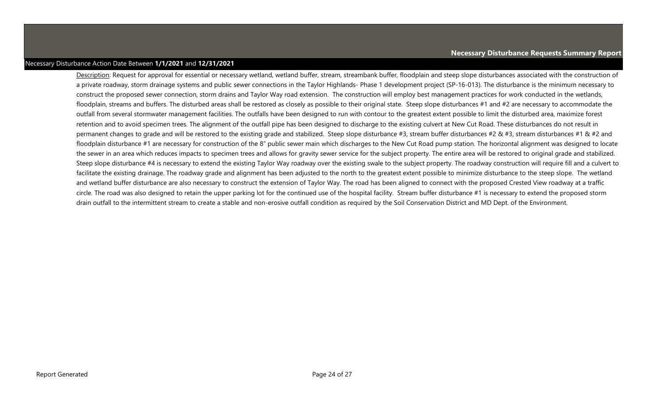Description: Request for approval for essential or necessary wetland, wetland buffer, stream, streambank buffer, floodplain and steep slope disturbances associated with the construction of a private roadway, storm drainage systems and public sewer connections in the Taylor Highlands- Phase 1 development project (SP-16-013). The disturbance is the minimum necessary to construct the proposed sewer connection, storm drains and Taylor Way road extension. The construction will employ best management practices for work conducted in the wetlands, floodplain, streams and buffers. The disturbed areas shall be restored as closely as possible to their original state. Steep slope disturbances #1 and #2 are necessary to accommodate the outfall from several stormwater management facilities. The outfalls have been designed to run with contour to the greatest extent possible to limit the disturbed area, maximize forest retention and to avoid specimen trees. The alignment of the outfall pipe has been designed to discharge to the existing culvert at New Cut Road. These disturbances do not result in permanent changes to grade and will be restored to the existing grade and stabilized. Steep slope disturbance #3, stream buffer disturbances #2 & #3, stream disturbances #1 & #2 and floodplain disturbance #1 are necessary for construction of the 8" public sewer main which discharges to the New Cut Road pump station. The horizontal alignment was designed to locate the sewer in an area which reduces impacts to specimen trees and allows for gravity sewer service for the subject property. The entire area will be restored to original grade and stabilized. Steep slope disturbance #4 is necessary to extend the existing Taylor Way roadway over the existing swale to the subject property. The roadway construction will require fill and a culvert to facilitate the existing drainage. The roadway grade and alignment has been adjusted to the north to the greatest extent possible to minimize disturbance to the steep slope. The wetland and wetland buffer disturbance are also necessary to construct the extension of Taylor Way. The road has been aligned to connect with the proposed Crested View roadway at a traffic circle. The road was also designed to retain the upper parking lot for the continued use of the hospital facility. Stream buffer disturbance #1 is necessary to extend the proposed storm drain outfall to the intermittent stream to create a stable and non-erosive outfall condition as required by the Soil Conservation District and MD Dept. of the Environment.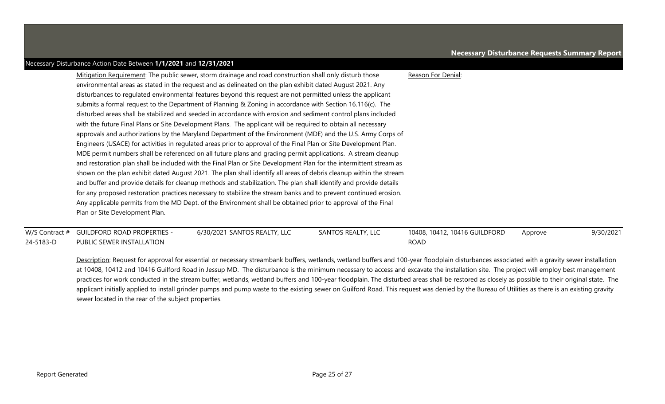| Mitigation Requirement: The public sewer, storm drainage and road construction shall only disturb those            | Reason For Denial: |
|--------------------------------------------------------------------------------------------------------------------|--------------------|
| environmental areas as stated in the request and as delineated on the plan exhibit dated August 2021. Any          |                    |
| disturbances to regulated environmental features beyond this request are not permitted unless the applicant        |                    |
| submits a formal request to the Department of Planning & Zoning in accordance with Section 16.116(c). The          |                    |
| disturbed areas shall be stabilized and seeded in accordance with erosion and sediment control plans included      |                    |
| with the future Final Plans or Site Development Plans. The applicant will be required to obtain all necessary      |                    |
| approvals and authorizations by the Maryland Department of the Environment (MDE) and the U.S. Army Corps of        |                    |
| Engineers (USACE) for activities in regulated areas prior to approval of the Final Plan or Site Development Plan.  |                    |
| MDE permit numbers shall be referenced on all future plans and grading permit applications. A stream cleanup       |                    |
| and restoration plan shall be included with the Final Plan or Site Development Plan for the intermittent stream as |                    |
| shown on the plan exhibit dated August 2021. The plan shall identify all areas of debris cleanup within the stream |                    |
| and buffer and provide details for cleanup methods and stabilization. The plan shall identify and provide details  |                    |
| for any proposed restoration practices necessary to stabilize the stream banks and to prevent continued erosion.   |                    |
| Any applicable permits from the MD Dept. of the Environment shall be obtained prior to approval of the Final       |                    |
| Plan or Site Development Plan.                                                                                     |                    |

|           | W/S Contract # GUILDFORD ROAD PROPERTIES - | 6/30/2021 SANTOS REALTY, LLC | SANTOS REALTY, LLC | 10408, 10412, 10416 GUILDFORD | Approve | 9/30/2021 |
|-----------|--------------------------------------------|------------------------------|--------------------|-------------------------------|---------|-----------|
| 24-5183-D | PUBLIC SEWER INSTALLATION                  |                              |                    | ROAD                          |         |           |

Description: Request for approval for essential or necessary streambank buffers, wetlands, wetland buffers and 100-year floodplain disturbances associated with a gravity sewer installation at 10408, 10412 and 10416 Guilford Road in Jessup MD. The disturbance is the minimum necessary to access and excavate the installation site. The project will employ best management practices for work conducted in the stream buffer, wetlands, wetland buffers and 100-year floodplain. The disturbed areas shall be restored as closely as possible to their original state. The applicant initially applied to install grinder pumps and pump waste to the existing sewer on Guilford Road. This request was denied by the Bureau of Utilities as there is an existing gravity sewer located in the rear of the subject properties.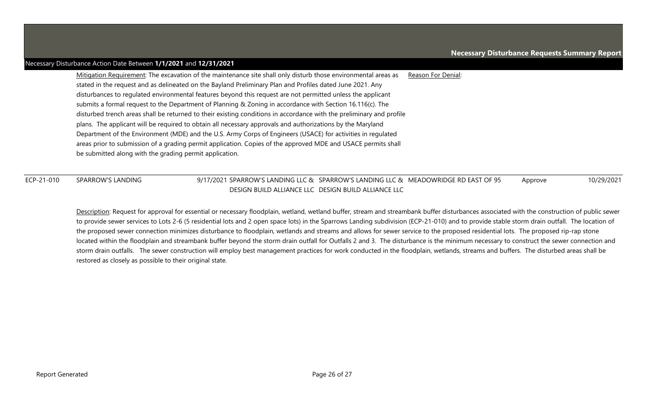Mitigation Requirement: The excavation of the maintenance site shall only disturb those environmental areas as stated in the request and as delineated on the Bayland Preliminary Plan and Profiles dated June 2021. Any disturbances to regulated environmental features beyond this request are not permitted unless the applicant submits a formal request to the Department of Planning & Zoning in accordance with Section 16.116(c). The disturbed trench areas shall be returned to their existing conditions in accordance with the preliminary and profile plans. The applicant will be required to obtain all necessary approvals and authorizations by the Maryland Department of the Environment (MDE) and the U.S. Army Corps of Engineers (USACE) for activities in regulated areas prior to submission of a grading permit application. Copies of the approved MDE and USACE permits shall be submitted along with the grading permit application. Reason For Denial:

ECP-21-010 SPARROW'S LANDING 9/17/2021 SPARROW'S LANDING LLC & SPARROW'S LANDING LLC & MEADOWRIDGE RD EAST OF 95 Approve 10/29/2021 DESIGN BUILD ALLIANCE LLC DESIGN BUILD ALLIANCE LLC

Description: Request for approval for essential or necessary floodplain, wetland, wetland buffer, stream and streambank buffer disturbances associated with the construction of public sewer to provide sewer services to Lots 2-6 (5 residential lots and 2 open space lots) in the Sparrows Landing subdivision (ECP-21-010) and to provide stable storm drain outfall. The location of the proposed sewer connection minimizes disturbance to floodplain, wetlands and streams and allows for sewer service to the proposed residential lots. The proposed rip-rap stone located within the floodplain and streambank buffer beyond the storm drain outfall for Outfalls 2 and 3. The disturbance is the minimum necessary to construct the sewer connection and storm drain outfalls. The sewer construction will employ best management practices for work conducted in the floodplain, wetlands, streams and buffers. The disturbed areas shall be restored as closely as possible to their original state.